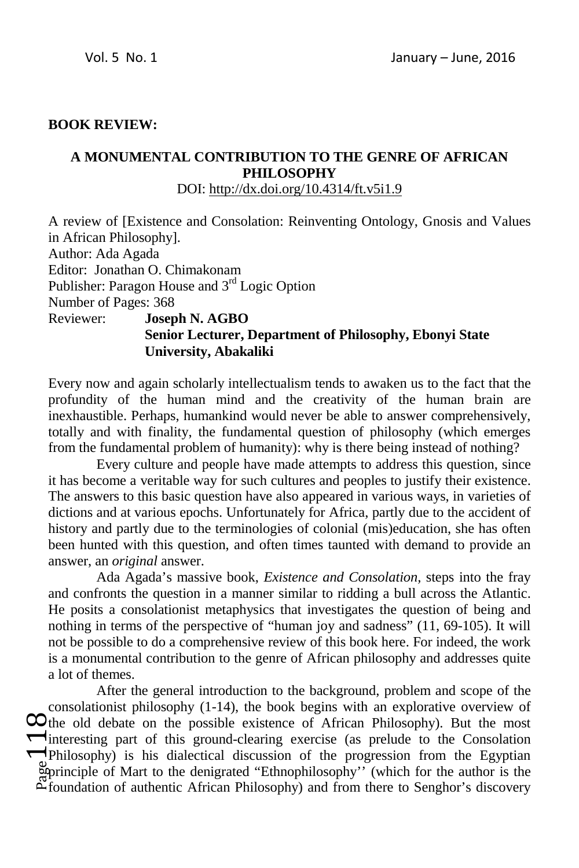## **BOOK REVIEW:**

## **A MONUMENTAL CONTRIBUTION TO THE GENRE OF AFRICAN PHILOSOPHY**

DOI: http://dx.doi.org/10.4314/ft.v5i1.9

A review of [Existence and Consolation: Reinventing Ontology, Gnosis and Values in African Philosophy]. Author: Ada Agada Editor: Jonathan O. Chimakonam Publisher: Paragon House and 3<sup>rd</sup> Logic Option Number of Pages: 368 Reviewer: **Joseph N. AGBO Senior Lecturer, Department of Philosophy, Ebonyi State University, Abakaliki** 

Every now and again scholarly intellectualism tends to awaken us to the fact that the profundity of the human mind and the creativity of the human brain are inexhaustible. Perhaps, humankind would never be able to answer comprehensively, totally and with finality, the fundamental question of philosophy (which emerges from the fundamental problem of humanity): why is there being instead of nothing?

 Every culture and people have made attempts to address this question, since it has become a veritable way for such cultures and peoples to justify their existence. The answers to this basic question have also appeared in various ways, in varieties of dictions and at various epochs. Unfortunately for Africa, partly due to the accident of history and partly due to the terminologies of colonial (mis)education, she has often been hunted with this question, and often times taunted with demand to provide an answer, an *original* answer.

 Ada Agada's massive book, *Existence and Consolation,* steps into the fray and confronts the question in a manner similar to ridding a bull across the Atlantic. He posits a consolationist metaphysics that investigates the question of being and nothing in terms of the perspective of "human joy and sadness" (11, 69-105). It will not be possible to do a comprehensive review of this book here. For indeed, the work is a monumental contribution to the genre of African philosophy and addresses quite a lot of themes.

 $\sum_{\substack{\text{intr}\ \text{gpri}}}\n \sum_{\substack{\text{intr}\ \text{gpri}}}\n \frac{1}{n}$  After the general introduction to the background, problem and scope of the consolationist philosophy (1-14), the book begins with an explorative overview of **CO**the old debate on the possible existence of African Philosophy). But the most interesting part of this ground-clearing exercise (as prelude to the Consolation Philosophy) is his dialectical discussion of the progression from the Egyptian principle of Mart to the denigrated "Ethnophilosophy'' (which for the author is the foundation of authentic African Philosophy) and from there to Senghor's discovery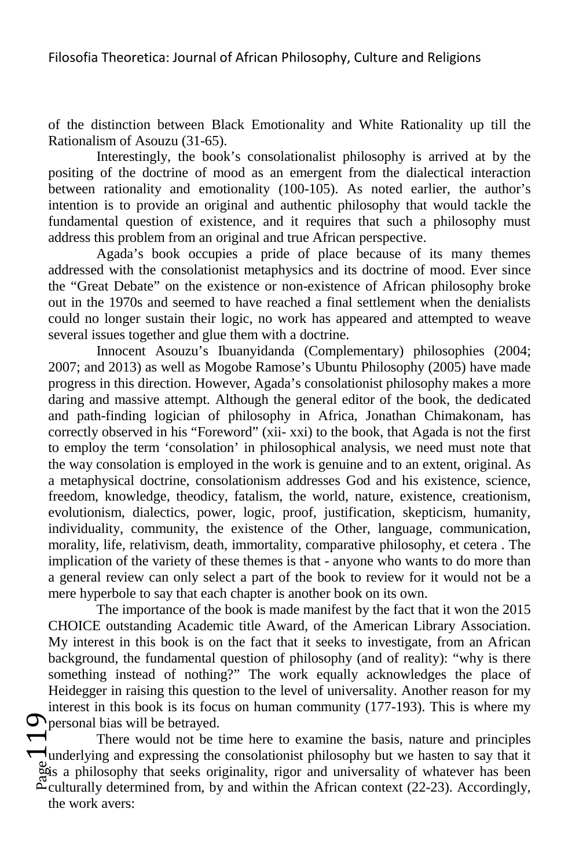of the distinction between Black Emotionality and White Rationality up till the Rationalism of Asouzu (31-65).

 Interestingly, the book's consolationalist philosophy is arrived at by the positing of the doctrine of mood as an emergent from the dialectical interaction between rationality and emotionality (100-105). As noted earlier, the author's intention is to provide an original and authentic philosophy that would tackle the fundamental question of existence, and it requires that such a philosophy must address this problem from an original and true African perspective.

 Agada's book occupies a pride of place because of its many themes addressed with the consolationist metaphysics and its doctrine of mood. Ever since the "Great Debate" on the existence or non-existence of African philosophy broke out in the 1970s and seemed to have reached a final settlement when the denialists could no longer sustain their logic, no work has appeared and attempted to weave several issues together and glue them with a doctrine.

 Innocent Asouzu's Ibuanyidanda (Complementary) philosophies (2004; 2007; and 2013) as well as Mogobe Ramose's Ubuntu Philosophy (2005) have made progress in this direction. However, Agada's consolationist philosophy makes a more daring and massive attempt. Although the general editor of the book, the dedicated and path-finding logician of philosophy in Africa, Jonathan Chimakonam, has correctly observed in his "Foreword" (xii- xxi) to the book, that Agada is not the first to employ the term 'consolation' in philosophical analysis, we need must note that the way consolation is employed in the work is genuine and to an extent, original. As a metaphysical doctrine, consolationism addresses God and his existence, science, freedom, knowledge, theodicy, fatalism, the world, nature, existence, creationism, evolutionism, dialectics, power, logic, proof, justification, skepticism, humanity, individuality, community, the existence of the Other, language, communication, morality, life, relativism, death, immortality, comparative philosophy, et cetera . The implication of the variety of these themes is that - anyone who wants to do more than a general review can only select a part of the book to review for it would not be a mere hyperbole to say that each chapter is another book on its own.

The importance of the book is made manifest by the fact that it won the 2015 CHOICE outstanding Academic title Award, of the American Library Association. My interest in this book is on the fact that it seeks to investigate, from an African background, the fundamental question of philosophy (and of reality): "why is there something instead of nothing?" The work equally acknowledges the place of Heidegger in raising this question to the level of universality. Another reason for my interest in this book is its focus on human community (177-193). This is where my

**O** personal bias will be betrayed.<br>
There would not be t<br>
dunderlying and expressing the<br>
gas a philosophy that seeks orig<br>
deculturally determined from by There would not be time here to examine the basis, nature and principles underlying and expressing the consolationist philosophy but we hasten to say that it  $\frac{80}{20}$  is a philosophy that seeks originality, rigor and universality of whatever has been  $\tilde{\alpha}$  culturally determined from, by and within the African context (22-23). Accordingly, the work avers: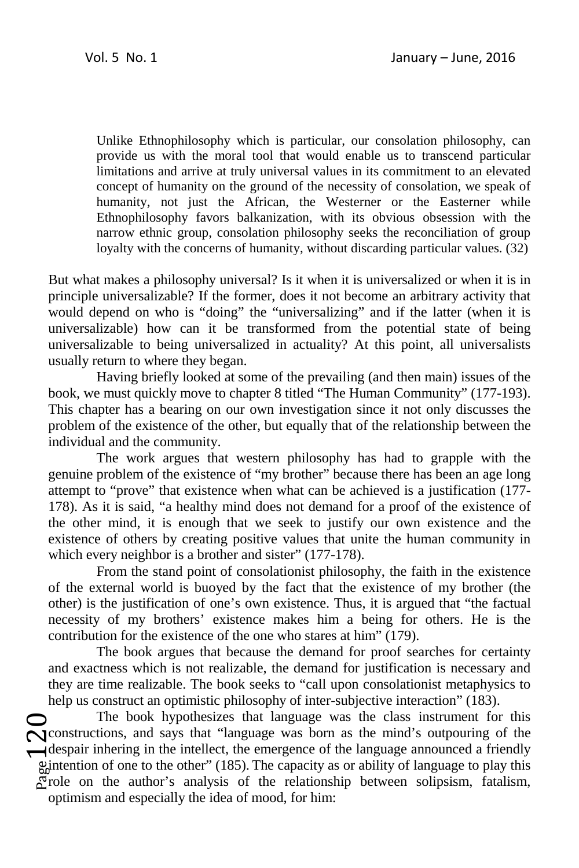Unlike Ethnophilosophy which is particular, our consolation philosophy, can provide us with the moral tool that would enable us to transcend particular limitations and arrive at truly universal values in its commitment to an elevated concept of humanity on the ground of the necessity of consolation, we speak of humanity, not just the African, the Westerner or the Easterner while Ethnophilosophy favors balkanization, with its obvious obsession with the narrow ethnic group, consolation philosophy seeks the reconciliation of group loyalty with the concerns of humanity, without discarding particular values. (32)

But what makes a philosophy universal? Is it when it is universalized or when it is in principle universalizable? If the former, does it not become an arbitrary activity that would depend on who is "doing" the "universalizing" and if the latter (when it is universalizable) how can it be transformed from the potential state of being universalizable to being universalized in actuality? At this point, all universalists usually return to where they began.

Having briefly looked at some of the prevailing (and then main) issues of the book, we must quickly move to chapter 8 titled "The Human Community" (177-193). This chapter has a bearing on our own investigation since it not only discusses the problem of the existence of the other, but equally that of the relationship between the individual and the community.

The work argues that western philosophy has had to grapple with the genuine problem of the existence of "my brother" because there has been an age long attempt to "prove" that existence when what can be achieved is a justification (177- 178). As it is said, "a healthy mind does not demand for a proof of the existence of the other mind, it is enough that we seek to justify our own existence and the existence of others by creating positive values that unite the human community in which every neighbor is a brother and sister" (177-178).

From the stand point of consolationist philosophy, the faith in the existence of the external world is buoyed by the fact that the existence of my brother (the other) is the justification of one's own existence. Thus, it is argued that "the factual necessity of my brothers' existence makes him a being for others. He is the contribution for the existence of the one who stares at him" (179).

The book argues that because the demand for proof searches for certainty and exactness which is not realizable, the demand for justification is necessary and they are time realizable. The book seeks to "call upon consolationist metaphysics to help us construct an optimistic philosophy of inter-subjective interaction" (183).

 $\Omega_{\text{gen}}^{\text{out}}$ The book hypothesizes that language was the class instrument for this constructions, and says that "language was born as the mind's outpouring of the despair inhering in the intellect, the emergence of the language announced a friendly intention of one to the other" (185). The capacity as or ability of language to play this role on the author's analysis of the relationship between solipsism, fatalism, optimism and especially the idea of mood, for him: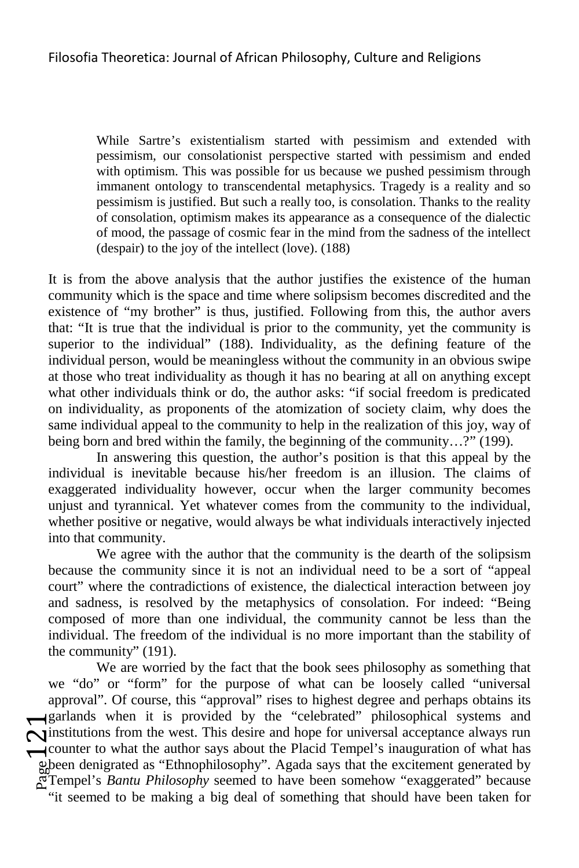While Sartre's existentialism started with pessimism and extended with pessimism, our consolationist perspective started with pessimism and ended with optimism. This was possible for us because we pushed pessimism through immanent ontology to transcendental metaphysics. Tragedy is a reality and so pessimism is justified. But such a really too, is consolation. Thanks to the reality of consolation, optimism makes its appearance as a consequence of the dialectic of mood, the passage of cosmic fear in the mind from the sadness of the intellect (despair) to the joy of the intellect (love). (188)

It is from the above analysis that the author justifies the existence of the human community which is the space and time where solipsism becomes discredited and the existence of "my brother" is thus, justified. Following from this, the author avers that: "It is true that the individual is prior to the community, yet the community is superior to the individual" (188). Individuality, as the defining feature of the individual person, would be meaningless without the community in an obvious swipe at those who treat individuality as though it has no bearing at all on anything except what other individuals think or do, the author asks: "if social freedom is predicated on individuality, as proponents of the atomization of society claim, why does the same individual appeal to the community to help in the realization of this joy, way of being born and bred within the family, the beginning of the community…?" (199).

In answering this question, the author's position is that this appeal by the individual is inevitable because his/her freedom is an illusion. The claims of exaggerated individuality however, occur when the larger community becomes unjust and tyrannical. Yet whatever comes from the community to the individual, whether positive or negative, would always be what individuals interactively injected into that community.

We agree with the author that the community is the dearth of the solipsism because the community since it is not an individual need to be a sort of "appeal court" where the contradictions of existence, the dialectical interaction between joy and sadness, is resolved by the metaphysics of consolation. For indeed: "Being composed of more than one individual, the community cannot be less than the individual. The freedom of the individual is no more important than the stability of the community" (191).

 $\sum_{\substack{\text{gen} \ \text{ghe}}}\n\frac{\text{ga}}{\text{g}}$ We are worried by the fact that the book sees philosophy as something that we "do" or "form" for the purpose of what can be loosely called "universal approval". Of course, this "approval" rises to highest degree and perhaps obtains its garlands when it is provided by the "celebrated" philosophical systems and institutions from the west. This desire and hope for universal acceptance always run counter to what the author says about the Placid Tempel's inauguration of what has been denigrated as "Ethnophilosophy". Agada says that the excitement generated by Tempel's *Bantu Philosophy* seemed to have been somehow "exaggerated" because "it seemed to be making a big deal of something that should have been taken for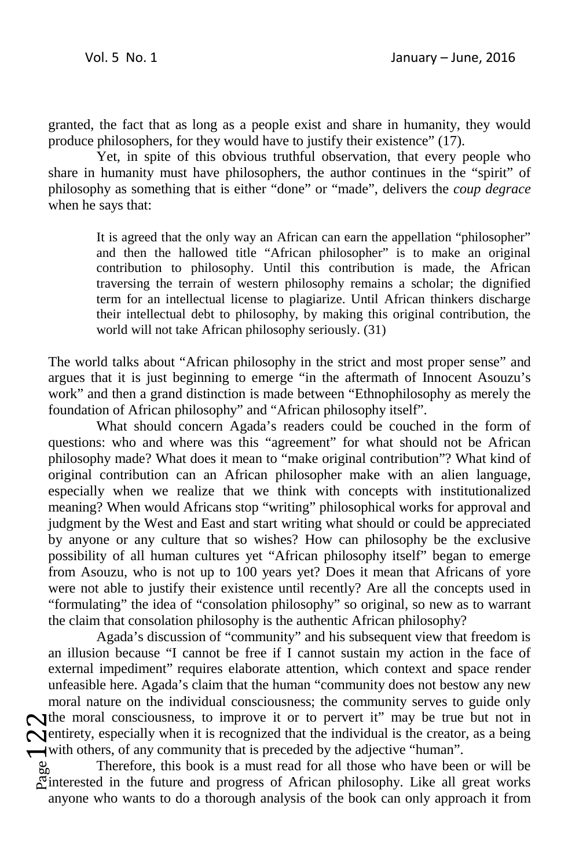granted, the fact that as long as a people exist and share in humanity, they would produce philosophers, for they would have to justify their existence" (17).

Yet, in spite of this obvious truthful observation, that every people who share in humanity must have philosophers, the author continues in the "spirit" of philosophy as something that is either "done" or "made", delivers the *coup degrace* when he says that:

It is agreed that the only way an African can earn the appellation "philosopher" and then the hallowed title "African philosopher" is to make an original contribution to philosophy. Until this contribution is made, the African traversing the terrain of western philosophy remains a scholar; the dignified term for an intellectual license to plagiarize. Until African thinkers discharge their intellectual debt to philosophy, by making this original contribution, the world will not take African philosophy seriously. (31)

The world talks about "African philosophy in the strict and most proper sense" and argues that it is just beginning to emerge "in the aftermath of Innocent Asouzu's work" and then a grand distinction is made between "Ethnophilosophy as merely the foundation of African philosophy" and "African philosophy itself".

What should concern Agada's readers could be couched in the form of questions: who and where was this "agreement" for what should not be African philosophy made? What does it mean to "make original contribution"? What kind of original contribution can an African philosopher make with an alien language, especially when we realize that we think with concepts with institutionalized meaning? When would Africans stop "writing" philosophical works for approval and judgment by the West and East and start writing what should or could be appreciated by anyone or any culture that so wishes? How can philosophy be the exclusive possibility of all human cultures yet "African philosophy itself" began to emerge from Asouzu, who is not up to 100 years yet? Does it mean that Africans of yore were not able to justify their existence until recently? Are all the concepts used in "formulating" the idea of "consolation philosophy" so original, so new as to warrant the claim that consolation philosophy is the authentic African philosophy?

 $\sum_{\substack{\text{gen} \ \text{g} \ \text{g} \ \text{in} \ \mathbb{Z}}}^{\text{the}}$ Agada's discussion of "community" and his subsequent view that freedom is an illusion because "I cannot be free if I cannot sustain my action in the face of external impediment" requires elaborate attention, which context and space render unfeasible here. Agada's claim that the human "community does not bestow any new moral nature on the individual consciousness; the community serves to guide only the moral consciousness, to improve it or to pervert it" may be true but not in  $\sum$ entirety, especially when it is recognized that the individual is the creator, as a being with others, of any community that is preceded by the adjective "human".

Therefore, this book is a must read for all those who have been or will be interested in the future and progress of African philosophy. Like all great works anyone who wants to do a thorough analysis of the book can only approach it from